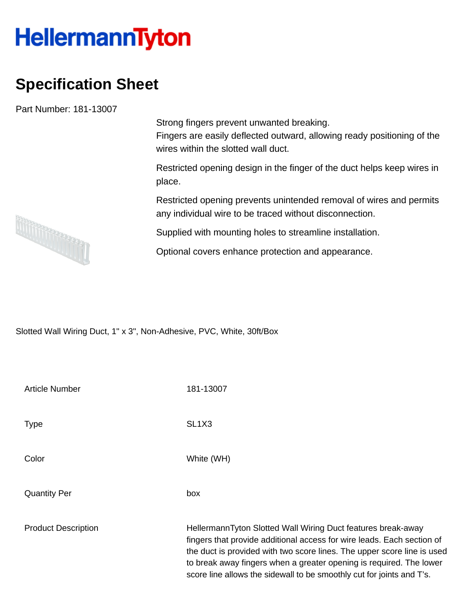## **HellermannTyton**

## **Specification Sheet**

Part Number: 181-13007

Strong fingers prevent unwanted breaking. Fingers are easily deflected outward, allowing ready positioning of the wires within the slotted wall duct.

Restricted opening design in the finger of the duct helps keep wires in place.

Restricted opening prevents unintended removal of wires and permits any individual wire to be traced without disconnection.

Supplied with mounting holes to streamline installation.

Optional covers enhance protection and appearance.

Slotted Wall Wiring Duct, 1" x 3", Non-Adhesive, PVC, White, 30ft/Box

| Article Number             | 181-13007                                                                                                                                                                                                                                                                                                                                                         |
|----------------------------|-------------------------------------------------------------------------------------------------------------------------------------------------------------------------------------------------------------------------------------------------------------------------------------------------------------------------------------------------------------------|
| Type                       | SL <sub>1</sub> X <sub>3</sub>                                                                                                                                                                                                                                                                                                                                    |
| Color                      | White (WH)                                                                                                                                                                                                                                                                                                                                                        |
| <b>Quantity Per</b>        | box                                                                                                                                                                                                                                                                                                                                                               |
| <b>Product Description</b> | HellermannTyton Slotted Wall Wiring Duct features break-away<br>fingers that provide additional access for wire leads. Each section of<br>the duct is provided with two score lines. The upper score line is used<br>to break away fingers when a greater opening is required. The lower<br>score line allows the sidewall to be smoothly cut for joints and T's. |

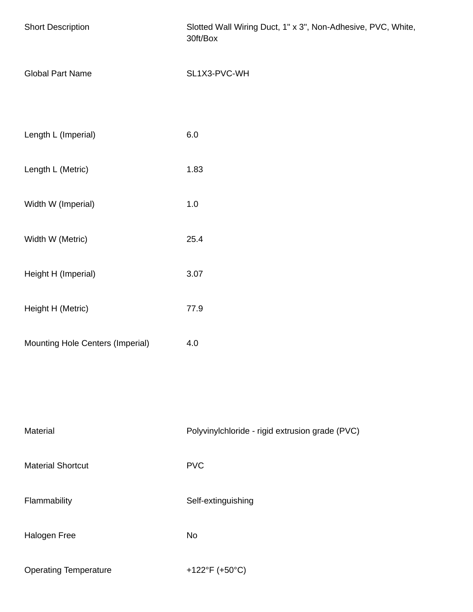| <b>Short Description</b>         | Slotted Wall Wiring Duct, 1" x 3", Non-Adhesive, PVC, White,<br>30ft/Box |
|----------------------------------|--------------------------------------------------------------------------|
| <b>Global Part Name</b>          | SL1X3-PVC-WH                                                             |
| Length L (Imperial)              | 6.0                                                                      |
| Length L (Metric)                | 1.83                                                                     |
| Width W (Imperial)               | 1.0                                                                      |
| Width W (Metric)                 | 25.4                                                                     |
| Height H (Imperial)              | 3.07                                                                     |
| Height H (Metric)                | 77.9                                                                     |
| Mounting Hole Centers (Imperial) | 4.0                                                                      |
|                                  |                                                                          |
| Material                         | Polyvinylchloride - rigid extrusion grade (PVC)                          |
| <b>Material Shortcut</b>         | <b>PVC</b>                                                               |
| Flammability                     | Self-extinguishing                                                       |
| Halogen Free                     | No                                                                       |
| <b>Operating Temperature</b>     | +122°F (+50°C)                                                           |